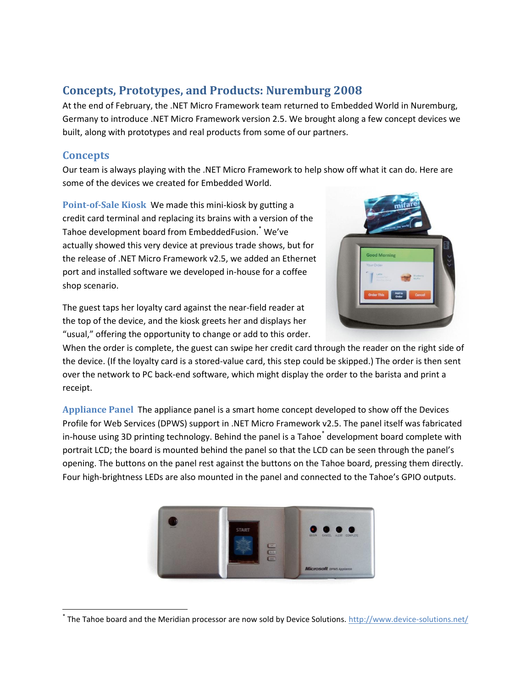# **Concepts, Prototypes, and Products: Nuremburg 2008**

At the end of February, the .NET Micro Framework team returned to Embedded World in Nuremburg, Germany to introduce .NET Micro Framework version 2.5. We brought along a few concept devices we built, along with prototypes and real products from some of our partners.

### **Concepts**

 $\overline{\phantom{a}}$ 

Our team is always playing with the .NET Micro Framework to help show off what it can do. Here are some of the devices we created for Embedded World.

**Point-of-Sale Kiosk** We made this mini-kiosk by gutting a credit card terminal and replacing its brains with a version of the Tahoe development board from EmbeddedFusion.<sup>\*</sup> We've actually showed this very device at previous trade shows, but for the release of .NET Micro Framework v2.5, we added an Ethernet port and installed software we developed in-house for a coffee shop scenario.

The guest taps her loyalty card against the near-field reader at the top of the device, and the kiosk greets her and displays her "usual," offering the opportunity to change or add to this order.



When the order is complete, the guest can swipe her credit card through the reader on the right side of the device. (If the loyalty card is a stored-value card, this step could be skipped.) The order is then sent over the network to PC back-end software, which might display the order to the barista and print a receipt.

**Appliance Panel** The appliance panel is a smart home concept developed to show off the Devices Profile for Web Services (DPWS) support in .NET Micro Framework v2.5. The panel itself was fabricated in-house using 3D printing technology. Behind the panel is a Tahoe<sup>\*</sup> development board complete with portrait LCD; the board is mounted behind the panel so that the LCD can be seen through the panel's opening. The buttons on the panel rest against the buttons on the Tahoe board, pressing them directly. Four high-brightness LEDs are also mounted in the panel and connected to the Tahoe's GPIO outputs.



<sup>\*</sup> The Tahoe board and the Meridian processor are now sold by Device Solutions.<http://www.device-solutions.net/>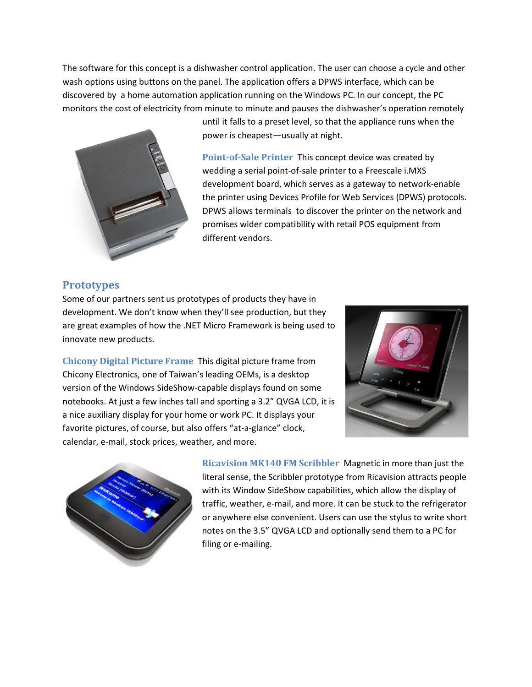The software for this concept is a dishwasher control application. The user can choose a cycle and other wash options using buttons on the panel. The application offers a DPWS interface, which can be discovered by a home automation application running on the Windows PC. In our concept, the PC monitors the cost of electricity from minute to minute and pauses the dishwasher's operation remotely



until it falls to a preset level, so that the appliance runs when the power is cheapest—usually at night.

**Point-of-Sale Printer** This concept device was created by wedding a serial point-of-sale printer to a Freescale i.MXS development board, which serves as a gateway to network-enable the printer using Devices Profile for Web Services (DPWS) protocols. DPWS allows terminals to discover the printer on the network and promises wider compatibility with retail POS equipment from different vendors.

#### **Prototypes**

Some of our partners sent us prototypes of products they have in development. We don't know when they'll see production, but they are great examples of how the .NET Micro Framework is being used to innovate new products.

**Chicony Digital Picture Frame** This digital picture frame from Chicony Electronics, one of Taiwan's leading OEMs, is a desktop version of the Windows SideShow-capable displays found on some notebooks. At just a few inches tall and sporting a 3.2" QVGA LCD, it is a nice auxiliary display for your home or work PC. It displays your favorite pictures, of course, but also offers "at-a-glance" clock, calendar, e-mail, stock prices, weather, and more.





**Ricavision MK140 FM Scribbler** Magnetic in more than just the literal sense, the Scribbler prototype from Ricavision attracts people with its Window SideShow capabilities, which allow the display of traffic, weather, e-mail, and more. It can be stuck to the refrigerator or anywhere else convenient. Users can use the stylus to write short notes on the 3.5" QVGA LCD and optionally send them to a PC for filing or e-mailing.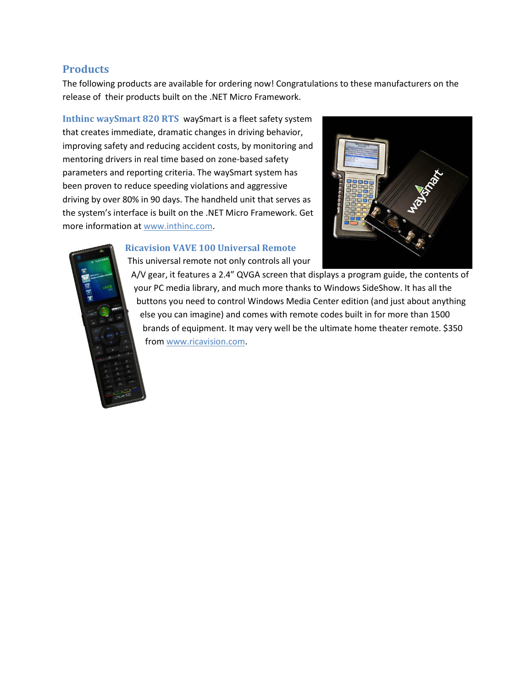### **Products**

The following products are available for ordering now! Congratulations to these manufacturers on the release of their products built on the .NET Micro Framework.

**Inthinc waySmart 820 RTS** waySmart is a fleet safety system that creates immediate, dramatic changes in driving behavior, improving safety and reducing accident costs, by monitoring and mentoring drivers in real time based on zone-based safety parameters and reporting criteria. The waySmart system has been proven to reduce speeding violations and aggressive driving by over 80% in 90 days. The handheld unit that serves as the system's interface is built on the .NET Micro Framework. Get more information at [www.inthinc.com.](http://www.inthinc.com/)



**Ricavision VAVE 100 Universal Remote** This universal remote not only controls all your

A/V gear, it features a 2.4" QVGA screen that displays a program guide, the contents of your PC media library, and much more thanks to Windows SideShow. It has all the buttons you need to control Windows Media Center edition (and just about anything else you can imagine) and comes with remote codes built in for more than 1500 brands of equipment. It may very well be the ultimate home theater remote. \$350 fro[m www.ricavision.com.](http://www.ricavision.com/)